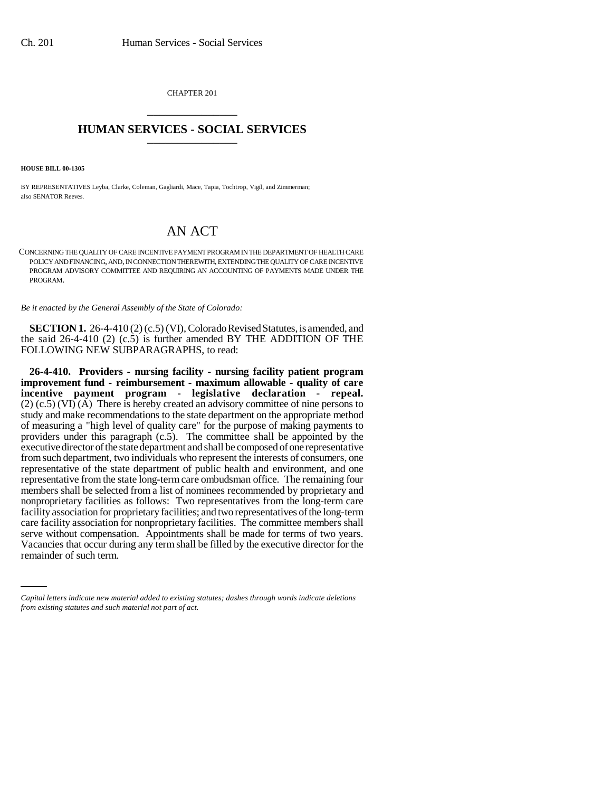CHAPTER 201 \_\_\_\_\_\_\_\_\_\_\_\_\_\_\_

## **HUMAN SERVICES - SOCIAL SERVICES** \_\_\_\_\_\_\_\_\_\_\_\_\_\_\_

**HOUSE BILL 00-1305** 

BY REPRESENTATIVES Leyba, Clarke, Coleman, Gagliardi, Mace, Tapia, Tochtrop, Vigil, and Zimmerman; also SENATOR Reeves.

## AN ACT

CONCERNING THE QUALITY OF CARE INCENTIVE PAYMENT PROGRAM IN THE DEPARTMENT OF HEALTH CARE POLICY AND FINANCING, AND, IN CONNECTION THEREWITH, EXTENDING THE QUALITY OF CARE INCENTIVE PROGRAM ADVISORY COMMITTEE AND REQUIRING AN ACCOUNTING OF PAYMENTS MADE UNDER THE PROGRAM.

*Be it enacted by the General Assembly of the State of Colorado:*

**SECTION 1.** 26-4-410(2) (c.5) (VI), Colorado Revised Statutes, is amended, and the said 26-4-410 (2) (c.5) is further amended BY THE ADDITION OF THE FOLLOWING NEW SUBPARAGRAPHS, to read:

serve without compensation. Appointments shall be made for terms of two years. **26-4-410. Providers - nursing facility - nursing facility patient program improvement fund - reimbursement - maximum allowable - quality of care incentive payment program - legislative declaration - repeal.** (2) (c.5) (VI) (A) There is hereby created an advisory committee of nine persons to study and make recommendations to the state department on the appropriate method of measuring a "high level of quality care" for the purpose of making payments to providers under this paragraph (c.5). The committee shall be appointed by the executive director of the state department and shall be composed of one representative from such department, two individuals who represent the interests of consumers, one representative of the state department of public health and environment, and one representative from the state long-term care ombudsman office. The remaining four members shall be selected from a list of nominees recommended by proprietary and nonproprietary facilities as follows: Two representatives from the long-term care facility association for proprietary facilities; and two representatives of the long-term care facility association for nonproprietary facilities. The committee members shall Vacancies that occur during any term shall be filled by the executive director for the remainder of such term.

*Capital letters indicate new material added to existing statutes; dashes through words indicate deletions from existing statutes and such material not part of act.*